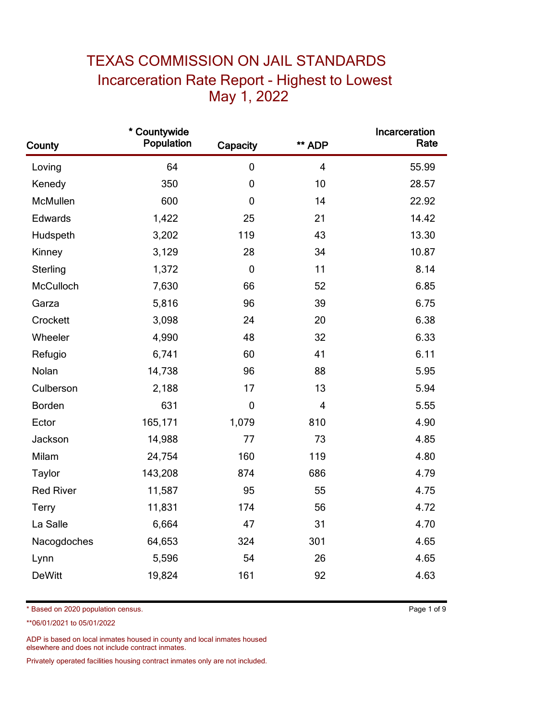## TEXAS COMMISSION ON JAIL STANDARDS Incarceration Rate Report - Highest to Lowest May 1, 2022

| County           | * Countywide<br>Population | Capacity         | ** ADP                  | Incarceration<br>Rate |
|------------------|----------------------------|------------------|-------------------------|-----------------------|
| Loving           | 64                         | $\mathbf 0$      | $\overline{\mathbf{4}}$ | 55.99                 |
| Kenedy           | 350                        | $\mathbf 0$      | 10                      | 28.57                 |
| McMullen         | 600                        | $\boldsymbol{0}$ | 14                      | 22.92                 |
| Edwards          | 1,422                      | 25               | 21                      | 14.42                 |
| Hudspeth         | 3,202                      | 119              | 43                      | 13.30                 |
| Kinney           | 3,129                      | 28               | 34                      | 10.87                 |
| Sterling         | 1,372                      | $\mathbf 0$      | 11                      | 8.14                  |
| McCulloch        | 7,630                      | 66               | 52                      | 6.85                  |
| Garza            | 5,816                      | 96               | 39                      | 6.75                  |
| Crockett         | 3,098                      | 24               | 20                      | 6.38                  |
| Wheeler          | 4,990                      | 48               | 32                      | 6.33                  |
| Refugio          | 6,741                      | 60               | 41                      | 6.11                  |
| Nolan            | 14,738                     | 96               | 88                      | 5.95                  |
| Culberson        | 2,188                      | 17               | 13                      | 5.94                  |
| Borden           | 631                        | $\mathbf 0$      | $\overline{4}$          | 5.55                  |
| Ector            | 165,171                    | 1,079            | 810                     | 4.90                  |
| Jackson          | 14,988                     | 77               | 73                      | 4.85                  |
| Milam            | 24,754                     | 160              | 119                     | 4.80                  |
| Taylor           | 143,208                    | 874              | 686                     | 4.79                  |
| <b>Red River</b> | 11,587                     | 95               | 55                      | 4.75                  |
| <b>Terry</b>     | 11,831                     | 174              | 56                      | 4.72                  |
| La Salle         | 6,664                      | 47               | 31                      | 4.70                  |
| Nacogdoches      | 64,653                     | 324              | 301                     | 4.65                  |
| Lynn             | 5,596                      | 54               | 26                      | 4.65                  |
| <b>DeWitt</b>    | 19,824                     | 161              | 92                      | 4.63                  |

\* Based on 2020 population census. Page 1 of 9

\*\*06/01/2021 to 05/01/2022

ADP is based on local inmates housed in county and local inmates housed elsewhere and does not include contract inmates.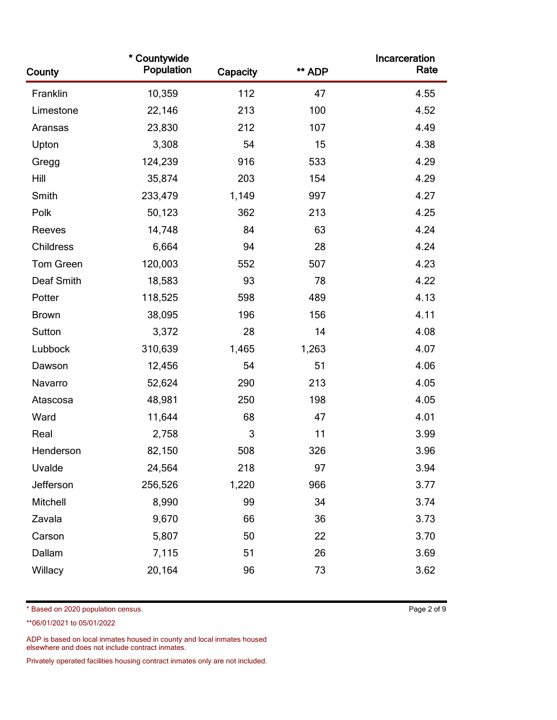| County       | * Countywide<br>Population | Capacity | ** ADP | Incarceration<br>Rate |
|--------------|----------------------------|----------|--------|-----------------------|
| Franklin     | 10,359                     | 112      | 47     | 4.55                  |
| Limestone    | 22,146                     | 213      | 100    | 4.52                  |
| Aransas      | 23,830                     | 212      | 107    | 4.49                  |
| Upton        | 3,308                      | 54       | 15     | 4.38                  |
| Gregg        | 124,239                    | 916      | 533    | 4.29                  |
| Hill         | 35,874                     | 203      | 154    | 4.29                  |
| Smith        | 233,479                    | 1,149    | 997    | 4.27                  |
| Polk         | 50,123                     | 362      | 213    | 4.25                  |
| Reeves       | 14,748                     | 84       | 63     | 4.24                  |
| Childress    | 6,664                      | 94       | 28     | 4.24                  |
| Tom Green    | 120,003                    | 552      | 507    | 4.23                  |
| Deaf Smith   | 18,583                     | 93       | 78     | 4.22                  |
| Potter       | 118,525                    | 598      | 489    | 4.13                  |
| <b>Brown</b> | 38,095                     | 196      | 156    | 4.11                  |
| Sutton       | 3,372                      | 28       | 14     | 4.08                  |
| Lubbock      | 310,639                    | 1,465    | 1,263  | 4.07                  |
| Dawson       | 12,456                     | 54       | 51     | 4.06                  |
| Navarro      | 52,624                     | 290      | 213    | 4.05                  |
| Atascosa     | 48,981                     | 250      | 198    | 4.05                  |
| Ward         | 11,644                     | 68       | 47     | 4.01                  |
| Real         | 2,758                      | 3        | 11     | 3.99                  |
| Henderson    | 82,150                     | 508      | 326    | 3.96                  |
| Uvalde       | 24,564                     | 218      | 97     | 3.94                  |
| Jefferson    | 256,526                    | 1,220    | 966    | 3.77                  |
| Mitchell     | 8,990                      | 99       | 34     | 3.74                  |
| Zavala       | 9,670                      | 66       | 36     | 3.73                  |
| Carson       | 5,807                      | 50       | 22     | 3.70                  |
| Dallam       | 7,115                      | 51       | 26     | 3.69                  |
| Willacy      | 20,164                     | 96       | 73     | 3.62                  |

\* Based on 2020 population census. Page 2 of 9

\*\*06/01/2021 to 05/01/2022

ADP is based on local inmates housed in county and local inmates housed elsewhere and does not include contract inmates.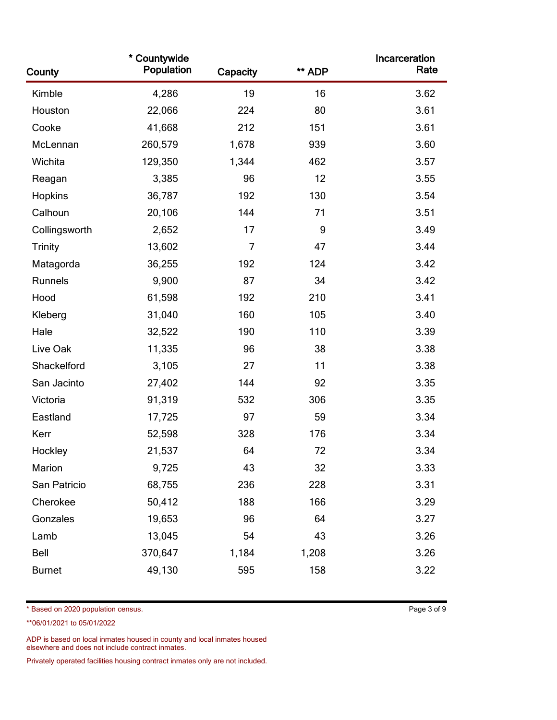| County         | * Countywide<br>Population | Capacity | ** ADP | Incarceration<br>Rate |
|----------------|----------------------------|----------|--------|-----------------------|
| Kimble         | 4,286                      | 19       | 16     | 3.62                  |
| Houston        | 22,066                     | 224      | 80     | 3.61                  |
| Cooke          | 41,668                     | 212      | 151    | 3.61                  |
| McLennan       | 260,579                    | 1,678    | 939    | 3.60                  |
| Wichita        | 129,350                    | 1,344    | 462    | 3.57                  |
| Reagan         | 3,385                      | 96       | 12     | 3.55                  |
| Hopkins        | 36,787                     | 192      | 130    | 3.54                  |
| Calhoun        | 20,106                     | 144      | 71     | 3.51                  |
| Collingsworth  | 2,652                      | 17       | 9      | 3.49                  |
| <b>Trinity</b> | 13,602                     | 7        | 47     | 3.44                  |
| Matagorda      | 36,255                     | 192      | 124    | 3.42                  |
| Runnels        | 9,900                      | 87       | 34     | 3.42                  |
| Hood           | 61,598                     | 192      | 210    | 3.41                  |
| Kleberg        | 31,040                     | 160      | 105    | 3.40                  |
| Hale           | 32,522                     | 190      | 110    | 3.39                  |
| Live Oak       | 11,335                     | 96       | 38     | 3.38                  |
| Shackelford    | 3,105                      | 27       | 11     | 3.38                  |
| San Jacinto    | 27,402                     | 144      | 92     | 3.35                  |
| Victoria       | 91,319                     | 532      | 306    | 3.35                  |
| Eastland       | 17,725                     | 97       | 59     | 3.34                  |
| Kerr           | 52,598                     | 328      | 176    | 3.34                  |
| Hockley        | 21,537                     | 64       | 72     | 3.34                  |
| Marion         | 9,725                      | 43       | 32     | 3.33                  |
| San Patricio   | 68,755                     | 236      | 228    | 3.31                  |
| Cherokee       | 50,412                     | 188      | 166    | 3.29                  |
| Gonzales       | 19,653                     | 96       | 64     | 3.27                  |
| Lamb           | 13,045                     | 54       | 43     | 3.26                  |
| Bell           | 370,647                    | 1,184    | 1,208  | 3.26                  |
| <b>Burnet</b>  | 49,130                     | 595      | 158    | 3.22                  |

\* Based on 2020 population census. Page 3 of 9

\*\*06/01/2021 to 05/01/2022

ADP is based on local inmates housed in county and local inmates housed elsewhere and does not include contract inmates.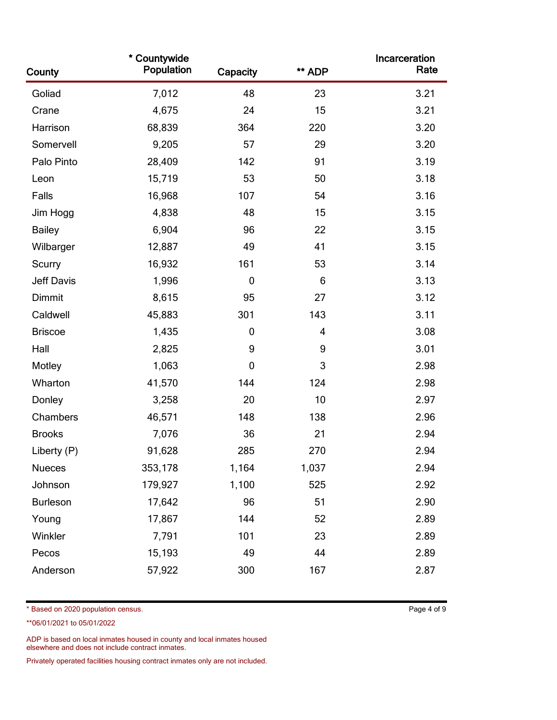| County          | * Countywide<br>Population | Capacity    | ** ADP | Incarceration<br>Rate |
|-----------------|----------------------------|-------------|--------|-----------------------|
| Goliad          | 7,012                      | 48          | 23     | 3.21                  |
| Crane           | 4,675                      | 24          | 15     | 3.21                  |
| Harrison        | 68,839                     | 364         | 220    | 3.20                  |
| Somervell       | 9,205                      | 57          | 29     | 3.20                  |
| Palo Pinto      | 28,409                     | 142         | 91     | 3.19                  |
| Leon            | 15,719                     | 53          | 50     | 3.18                  |
| Falls           | 16,968                     | 107         | 54     | 3.16                  |
| Jim Hogg        | 4,838                      | 48          | 15     | 3.15                  |
| <b>Bailey</b>   | 6,904                      | 96          | 22     | 3.15                  |
| Wilbarger       | 12,887                     | 49          | 41     | 3.15                  |
| Scurry          | 16,932                     | 161         | 53     | 3.14                  |
| Jeff Davis      | 1,996                      | $\mathbf 0$ | 6      | 3.13                  |
| Dimmit          | 8,615                      | 95          | 27     | 3.12                  |
| Caldwell        | 45,883                     | 301         | 143    | 3.11                  |
| <b>Briscoe</b>  | 1,435                      | $\mathbf 0$ | 4      | 3.08                  |
| Hall            | 2,825                      | 9           | 9      | 3.01                  |
| Motley          | 1,063                      | $\mathbf 0$ | 3      | 2.98                  |
| Wharton         | 41,570                     | 144         | 124    | 2.98                  |
| Donley          | 3,258                      | 20          | 10     | 2.97                  |
| Chambers        | 46,571                     | 148         | 138    | 2.96                  |
| <b>Brooks</b>   | 7,076                      | 36          | 21     | 2.94                  |
| Liberty (P)     | 91,628                     | 285         | 270    | 2.94                  |
| <b>Nueces</b>   | 353,178                    | 1,164       | 1,037  | 2.94                  |
| Johnson         | 179,927                    | 1,100       | 525    | 2.92                  |
| <b>Burleson</b> | 17,642                     | 96          | 51     | 2.90                  |
| Young           | 17,867                     | 144         | 52     | 2.89                  |
| Winkler         | 7,791                      | 101         | 23     | 2.89                  |
| Pecos           | 15,193                     | 49          | 44     | 2.89                  |
| Anderson        | 57,922                     | 300         | 167    | 2.87                  |

\* Based on 2020 population census. Page 4 of 9

\*\*06/01/2021 to 05/01/2022

ADP is based on local inmates housed in county and local inmates housed elsewhere and does not include contract inmates.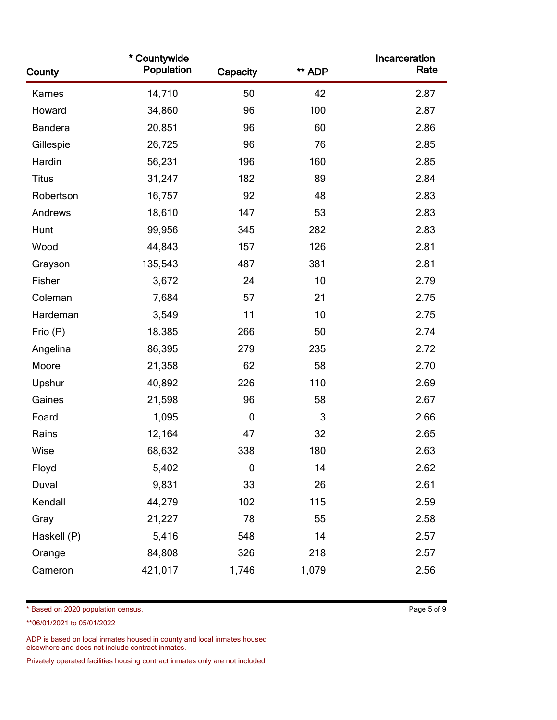| County         | * Countywide<br>Population | Capacity    | ** ADP | Incarceration<br>Rate |
|----------------|----------------------------|-------------|--------|-----------------------|
| Karnes         | 14,710                     | 50          | 42     | 2.87                  |
| Howard         | 34,860                     | 96          | 100    | 2.87                  |
| <b>Bandera</b> | 20,851                     | 96          | 60     | 2.86                  |
| Gillespie      | 26,725                     | 96          | 76     | 2.85                  |
| Hardin         | 56,231                     | 196         | 160    | 2.85                  |
| <b>Titus</b>   | 31,247                     | 182         | 89     | 2.84                  |
| Robertson      | 16,757                     | 92          | 48     | 2.83                  |
| Andrews        | 18,610                     | 147         | 53     | 2.83                  |
| Hunt           | 99,956                     | 345         | 282    | 2.83                  |
| Wood           | 44,843                     | 157         | 126    | 2.81                  |
| Grayson        | 135,543                    | 487         | 381    | 2.81                  |
| Fisher         | 3,672                      | 24          | 10     | 2.79                  |
| Coleman        | 7,684                      | 57          | 21     | 2.75                  |
| Hardeman       | 3,549                      | 11          | 10     | 2.75                  |
| Frio (P)       | 18,385                     | 266         | 50     | 2.74                  |
| Angelina       | 86,395                     | 279         | 235    | 2.72                  |
| Moore          | 21,358                     | 62          | 58     | 2.70                  |
| Upshur         | 40,892                     | 226         | 110    | 2.69                  |
| Gaines         | 21,598                     | 96          | 58     | 2.67                  |
| Foard          | 1,095                      | $\mathbf 0$ | 3      | 2.66                  |
| Rains          | 12,164                     | 47          | 32     | 2.65                  |
| Wise           | 68,632                     | 338         | 180    | 2.63                  |
| Floyd          | 5,402                      | $\mathbf 0$ | 14     | 2.62                  |
| Duval          | 9,831                      | 33          | 26     | 2.61                  |
| Kendall        | 44,279                     | 102         | 115    | 2.59                  |
| Gray           | 21,227                     | 78          | 55     | 2.58                  |
| Haskell (P)    | 5,416                      | 548         | 14     | 2.57                  |
| Orange         | 84,808                     | 326         | 218    | 2.57                  |
| Cameron        | 421,017                    | 1,746       | 1,079  | 2.56                  |

\* Based on 2020 population census. Page 5 of 9

\*\*06/01/2021 to 05/01/2022

ADP is based on local inmates housed in county and local inmates housed elsewhere and does not include contract inmates.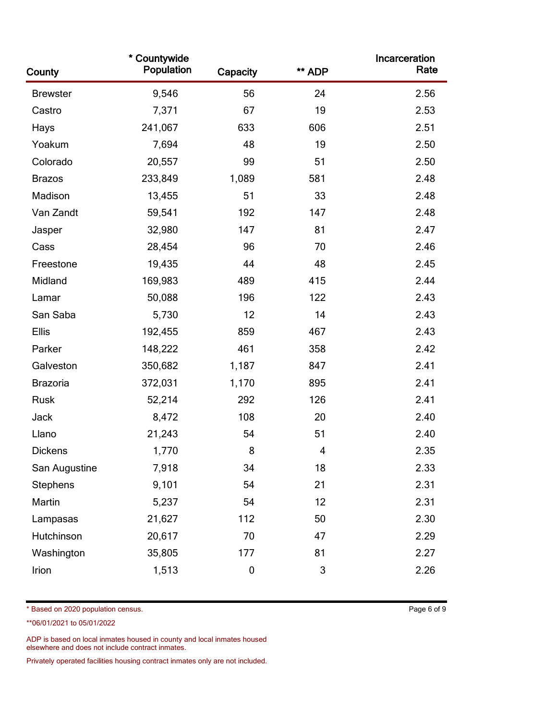| County          | * Countywide<br>Population | Capacity  | ** ADP | Incarceration<br>Rate |
|-----------------|----------------------------|-----------|--------|-----------------------|
| <b>Brewster</b> | 9,546                      | 56        | 24     | 2.56                  |
| Castro          | 7,371                      | 67        | 19     | 2.53                  |
| Hays            | 241,067                    | 633       | 606    | 2.51                  |
| Yoakum          | 7,694                      | 48        | 19     | 2.50                  |
| Colorado        | 20,557                     | 99        | 51     | 2.50                  |
| <b>Brazos</b>   | 233,849                    | 1,089     | 581    | 2.48                  |
| Madison         | 13,455                     | 51        | 33     | 2.48                  |
| Van Zandt       | 59,541                     | 192       | 147    | 2.48                  |
| Jasper          | 32,980                     | 147       | 81     | 2.47                  |
| Cass            | 28,454                     | 96        | 70     | 2.46                  |
| Freestone       | 19,435                     | 44        | 48     | 2.45                  |
| Midland         | 169,983                    | 489       | 415    | 2.44                  |
| Lamar           | 50,088                     | 196       | 122    | 2.43                  |
| San Saba        | 5,730                      | 12        | 14     | 2.43                  |
| Ellis           | 192,455                    | 859       | 467    | 2.43                  |
| Parker          | 148,222                    | 461       | 358    | 2.42                  |
| Galveston       | 350,682                    | 1,187     | 847    | 2.41                  |
| Brazoria        | 372,031                    | 1,170     | 895    | 2.41                  |
| Rusk            | 52,214                     | 292       | 126    | 2.41                  |
| Jack            | 8,472                      | 108       | 20     | 2.40                  |
| Llano           | 21,243                     | 54        | 51     | 2.40                  |
| <b>Dickens</b>  | 1,770                      | 8         | 4      | 2.35                  |
| San Augustine   | 7,918                      | 34        | 18     | 2.33                  |
| Stephens        | 9,101                      | 54        | 21     | 2.31                  |
| Martin          | 5,237                      | 54        | 12     | 2.31                  |
| Lampasas        | 21,627                     | 112       | 50     | 2.30                  |
| Hutchinson      | 20,617                     | 70        | 47     | 2.29                  |
| Washington      | 35,805                     | 177       | 81     | 2.27                  |
| Irion           | 1,513                      | $\pmb{0}$ | 3      | 2.26                  |

\* Based on 2020 population census. Page 6 of 9

\*\*06/01/2021 to 05/01/2022

ADP is based on local inmates housed in county and local inmates housed elsewhere and does not include contract inmates.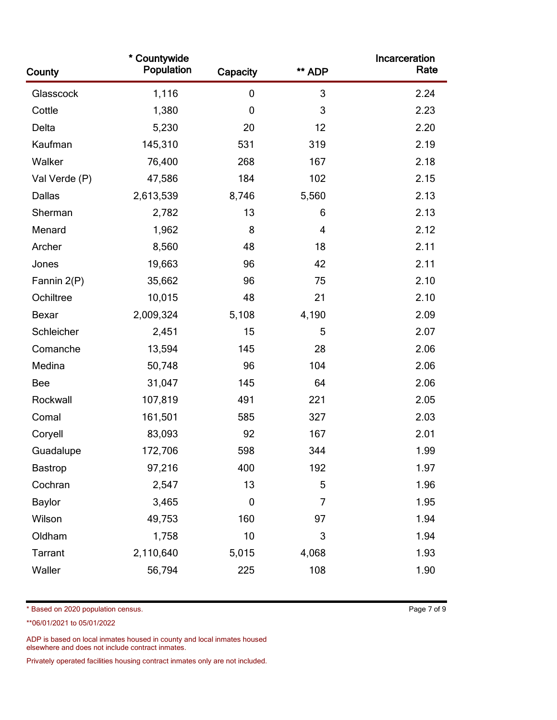| County         | * Countywide<br>Population | Capacity    | ** ADP | Incarceration<br>Rate |
|----------------|----------------------------|-------------|--------|-----------------------|
| Glasscock      | 1,116                      | $\mathbf 0$ | 3      | 2.24                  |
| Cottle         | 1,380                      | $\mathbf 0$ | 3      | 2.23                  |
| Delta          | 5,230                      | 20          | 12     | 2.20                  |
| Kaufman        | 145,310                    | 531         | 319    | 2.19                  |
| Walker         | 76,400                     | 268         | 167    | 2.18                  |
| Val Verde (P)  | 47,586                     | 184         | 102    | 2.15                  |
| Dallas         | 2,613,539                  | 8,746       | 5,560  | 2.13                  |
| Sherman        | 2,782                      | 13          | 6      | 2.13                  |
| Menard         | 1,962                      | 8           | 4      | 2.12                  |
| Archer         | 8,560                      | 48          | 18     | 2.11                  |
| Jones          | 19,663                     | 96          | 42     | 2.11                  |
| Fannin 2(P)    | 35,662                     | 96          | 75     | 2.10                  |
| Ochiltree      | 10,015                     | 48          | 21     | 2.10                  |
| Bexar          | 2,009,324                  | 5,108       | 4,190  | 2.09                  |
| Schleicher     | 2,451                      | 15          | 5      | 2.07                  |
| Comanche       | 13,594                     | 145         | 28     | 2.06                  |
| Medina         | 50,748                     | 96          | 104    | 2.06                  |
| <b>Bee</b>     | 31,047                     | 145         | 64     | 2.06                  |
| Rockwall       | 107,819                    | 491         | 221    | 2.05                  |
| Comal          | 161,501                    | 585         | 327    | 2.03                  |
| Coryell        | 83,093                     | 92          | 167    | 2.01                  |
| Guadalupe      | 172,706                    | 598         | 344    | 1.99                  |
| <b>Bastrop</b> | 97,216                     | 400         | 192    | 1.97                  |
| Cochran        | 2,547                      | 13          | 5      | 1.96                  |
| <b>Baylor</b>  | 3,465                      | $\mathbf 0$ | 7      | 1.95                  |
| Wilson         | 49,753                     | 160         | 97     | 1.94                  |
| Oldham         | 1,758                      | 10          | 3      | 1.94                  |
| Tarrant        | 2,110,640                  | 5,015       | 4,068  | 1.93                  |
| Waller         | 56,794                     | 225         | 108    | 1.90                  |

\* Based on 2020 population census. Page 7 of 9

\*\*06/01/2021 to 05/01/2022

ADP is based on local inmates housed in county and local inmates housed elsewhere and does not include contract inmates.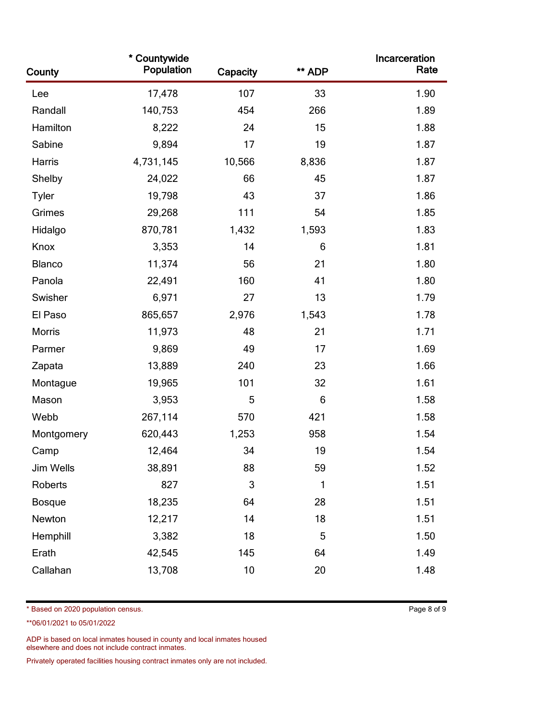| County        | * Countywide<br>Population | Capacity | ** ADP | Incarceration<br>Rate |
|---------------|----------------------------|----------|--------|-----------------------|
| Lee           | 17,478                     | 107      | 33     | 1.90                  |
| Randall       | 140,753                    | 454      | 266    | 1.89                  |
| Hamilton      | 8,222                      | 24       | 15     | 1.88                  |
| Sabine        | 9,894                      | 17       | 19     | 1.87                  |
| Harris        | 4,731,145                  | 10,566   | 8,836  | 1.87                  |
| Shelby        | 24,022                     | 66       | 45     | 1.87                  |
| <b>Tyler</b>  | 19,798                     | 43       | 37     | 1.86                  |
| Grimes        | 29,268                     | 111      | 54     | 1.85                  |
| Hidalgo       | 870,781                    | 1,432    | 1,593  | 1.83                  |
| Knox          | 3,353                      | 14       | 6      | 1.81                  |
| Blanco        | 11,374                     | 56       | 21     | 1.80                  |
| Panola        | 22,491                     | 160      | 41     | 1.80                  |
| Swisher       | 6,971                      | 27       | 13     | 1.79                  |
| El Paso       | 865,657                    | 2,976    | 1,543  | 1.78                  |
| <b>Morris</b> | 11,973                     | 48       | 21     | 1.71                  |
| Parmer        | 9,869                      | 49       | 17     | 1.69                  |
| Zapata        | 13,889                     | 240      | 23     | 1.66                  |
| Montague      | 19,965                     | 101      | 32     | 1.61                  |
| Mason         | 3,953                      | 5        | 6      | 1.58                  |
| Webb          | 267,114                    | 570      | 421    | 1.58                  |
| Montgomery    | 620,443                    | 1,253    | 958    | 1.54                  |
| Camp          | 12,464                     | 34       | 19     | 1.54                  |
| Jim Wells     | 38,891                     | 88       | 59     | 1.52                  |
| Roberts       | 827                        | 3        | 1      | 1.51                  |
| <b>Bosque</b> | 18,235                     | 64       | 28     | 1.51                  |
| Newton        | 12,217                     | 14       | 18     | 1.51                  |
| Hemphill      | 3,382                      | 18       | 5      | 1.50                  |
| Erath         | 42,545                     | 145      | 64     | 1.49                  |
| Callahan      | 13,708                     | 10       | 20     | 1.48                  |

\* Based on 2020 population census. Page 8 of 9

\*\*06/01/2021 to 05/01/2022

ADP is based on local inmates housed in county and local inmates housed elsewhere and does not include contract inmates.